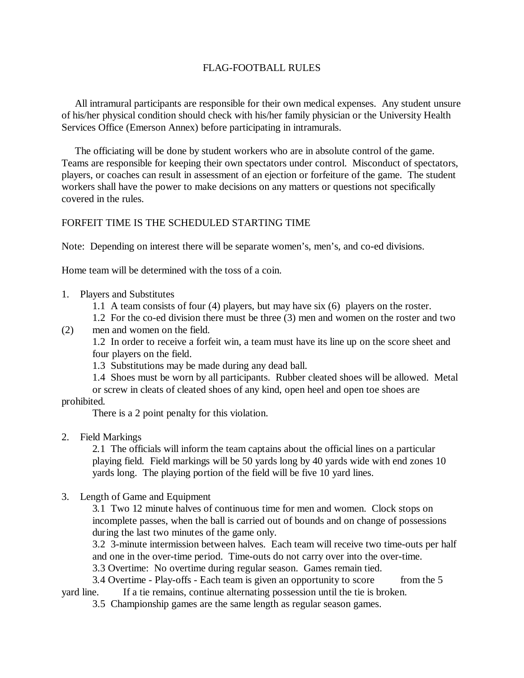### FLAG-FOOTBALL RULES

 All intramural participants are responsible for their own medical expenses. Any student unsure of his/her physical condition should check with his/her family physician or the University Health Services Office (Emerson Annex) before participating in intramurals.

 The officiating will be done by student workers who are in absolute control of the game. Teams are responsible for keeping their own spectators under control. Misconduct of spectators, players, or coaches can result in assessment of an ejection or forfeiture of the game. The student workers shall have the power to make decisions on any matters or questions not specifically covered in the rules.

# FORFEIT TIME IS THE SCHEDULED STARTING TIME

Note: Depending on interest there will be separate women's, men's, and co-ed divisions.

Home team will be determined with the toss of a coin.

- 1. Players and Substitutes
	- 1.1 A team consists of four (4) players, but may have six (6) players on the roster.
	- 1.2 For the co-ed division there must be three (3) men and women on the roster and two
- (2) men and women on the field.

 1.2 In order to receive a forfeit win, a team must have its line up on the score sheet and four players on the field.

- 1.3 Substitutions may be made during any dead ball.
- 1.4 Shoes must be worn by all participants. Rubber cleated shoes will be allowed. Metal or screw in cleats of cleated shoes of any kind, open heel and open toe shoes are

prohibited.

There is a 2 point penalty for this violation.

2. Field Markings

 2.1 The officials will inform the team captains about the official lines on a particular playing field. Field markings will be 50 yards long by 40 yards wide with end zones 10 yards long. The playing portion of the field will be five 10 yard lines.

3. Length of Game and Equipment

 3.1 Two 12 minute halves of continuous time for men and women. Clock stops on incomplete passes, when the ball is carried out of bounds and on change of possessions during the last two minutes of the game only.

 3.2 3-minute intermission between halves. Each team will receive two time-outs per half and one in the over-time period. Time-outs do not carry over into the over-time.

3.3 Overtime: No overtime during regular season. Games remain tied.

 3.4 Overtime - Play-offs - Each team is given an opportunity to score from the 5 yard line. If a tie remains, continue alternating possession until the tie is broken.

3.5 Championship games are the same length as regular season games.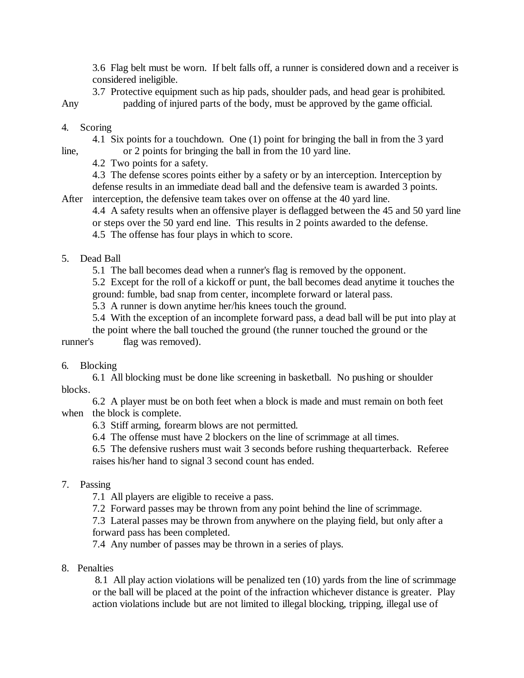3.6 Flag belt must be worn. If belt falls off, a runner is considered down and a receiver is considered ineligible.

3.7 Protective equipment such as hip pads, shoulder pads, and head gear is prohibited.

Any padding of injured parts of the body, must be approved by the game official.

### 4. Scoring

 4.1 Six points for a touchdown. One (1) point for bringing the ball in from the 3 yard line, or 2 points for bringing the ball in from the 10 yard line.

4.2 Two points for a safety.

4.3 The defense scores points either by a safety or by an interception. Interception by defense results in an immediate dead ball and the defensive team is awarded 3 points.

After interception, the defensive team takes over on offense at the 40 yard line.

4.4 A safety results when an offensive player is deflagged between the 45 and 50 yard line or steps over the 50 yard end line. This results in 2 points awarded to the defense.

4.5 The offense has four plays in which to score.

### 5. Dead Ball

5.1 The ball becomes dead when a runner's flag is removed by the opponent.

 5.2 Except for the roll of a kickoff or punt, the ball becomes dead anytime it touches the ground: fumble, bad snap from center, incomplete forward or lateral pass.

5.3 A runner is down anytime her/his knees touch the ground.

5.4 With the exception of an incomplete forward pass, a dead ball will be put into play at

the point where the ball touched the ground (the runner touched the ground or the runner's flag was removed).

# 6. Blocking

 6.1 All blocking must be done like screening in basketball. No pushing or shoulder blocks.

 6.2 A player must be on both feet when a block is made and must remain on both feet when the block is complete.

6.3 Stiff arming, forearm blows are not permitted.

6.4 The offense must have 2 blockers on the line of scrimmage at all times.

6.5 The defensive rushers must wait 3 seconds before rushing thequarterback. Referee raises his/her hand to signal 3 second count has ended.

# 7. Passing

7.1 All players are eligible to receive a pass.

7.2 Forward passes may be thrown from any point behind the line of scrimmage.

 7.3 Lateral passes may be thrown from anywhere on the playing field, but only after a forward pass has been completed.

7.4 Any number of passes may be thrown in a series of plays.

#### 8. Penalties

 8.1 All play action violations will be penalized ten (10) yards from the line of scrimmage or the ball will be placed at the point of the infraction whichever distance is greater. Play action violations include but are not limited to illegal blocking, tripping, illegal use of